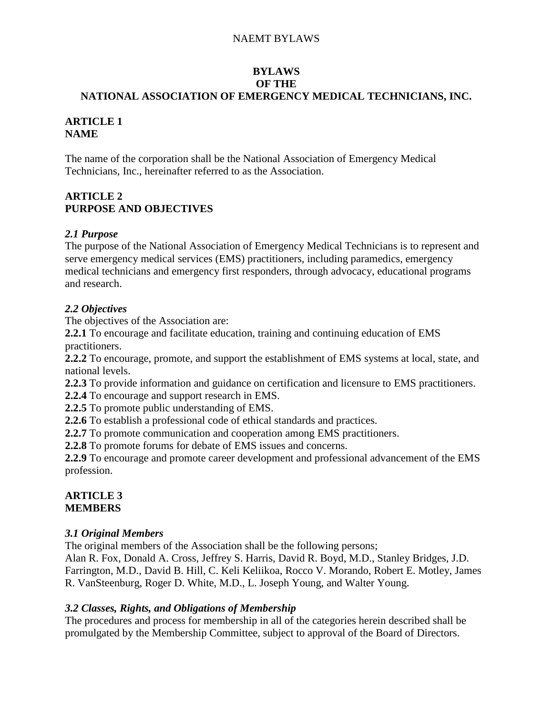### **BYLAWS OF THE NATIONAL ASSOCIATION OF EMERGENCY MEDICAL TECHNICIANS, INC.**

## **ARTICLE 1 NAME**

The name of the corporation shall be the National Association of Emergency Medical Technicians, Inc., hereinafter referred to as the Association.

# **ARTICLE 2 PURPOSE AND OBJECTIVES**

## *2.1 Purpose*

The purpose of the National Association of Emergency Medical Technicians is to represent and serve emergency medical services (EMS) practitioners, including paramedics, emergency medical technicians and emergency first responders, through advocacy, educational programs and research.

## *2.2 Objectives*

The objectives of the Association are:

**2.2.1** To encourage and facilitate education, training and continuing education of EMS practitioners.

**2.2.2** To encourage, promote, and support the establishment of EMS systems at local, state, and national levels.

**2.2.3** To provide information and guidance on certification and licensure to EMS practitioners.

**2.2.4** To encourage and support research in EMS.

**2.2.5** To promote public understanding of EMS.

**2.2.6** To establish a professional code of ethical standards and practices.

**2.2.7** To promote communication and cooperation among EMS practitioners.

**2.2.8** To promote forums for debate of EMS issues and concerns.

**2.2.9** To encourage and promote career development and professional advancement of the EMS profession.

### **ARTICLE 3 MEMBERS**

### *3.1 Original Members*

The original members of the Association shall be the following persons;

Alan R. Fox, Donald A. Cross, Jeffrey S. Harris, David R. Boyd, M.D., Stanley Bridges, J.D. Farrington, M.D., David B. Hill, C. Keli Keliikoa, Rocco V. Morando, Robert E. Motley, James R. VanSteenburg, Roger D. White, M.D., L. Joseph Young, and Walter Young.

### *3.2 Classes, Rights, and Obligations of Membership*

The procedures and process for membership in all of the categories herein described shall be promulgated by the Membership Committee, subject to approval of the Board of Directors.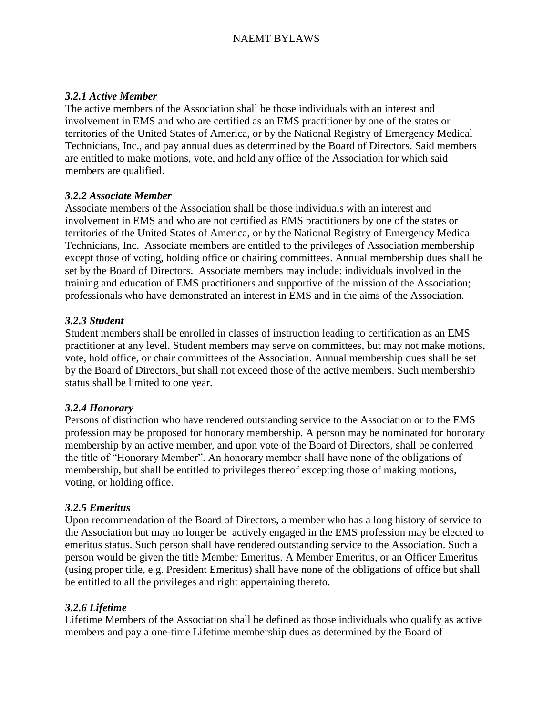### *3.2.1 Active Member*

The active members of the Association shall be those individuals with an interest and involvement in EMS and who are certified as an EMS practitioner by one of the states or territories of the United States of America, or by the National Registry of Emergency Medical Technicians, Inc., and pay annual dues as determined by the Board of Directors. Said members are entitled to make motions, vote, and hold any office of the Association for which said members are qualified.

### *3.2.2 Associate Member*

Associate members of the Association shall be those individuals with an interest and involvement in EMS and who are not certified as EMS practitioners by one of the states or territories of the United States of America, or by the National Registry of Emergency Medical Technicians, Inc. Associate members are entitled to the privileges of Association membership except those of voting, holding office or chairing committees. Annual membership dues shall be set by the Board of Directors. Associate members may include: individuals involved in the training and education of EMS practitioners and supportive of the mission of the Association; professionals who have demonstrated an interest in EMS and in the aims of the Association.

### *3.2.3 Student*

Student members shall be enrolled in classes of instruction leading to certification as an EMS practitioner at any level. Student members may serve on committees, but may not make motions, vote, hold office, or chair committees of the Association. Annual membership dues shall be set by the Board of Directors, but shall not exceed those of the active members. Such membership status shall be limited to one year.

### *3.2.4 Honorary*

Persons of distinction who have rendered outstanding service to the Association or to the EMS profession may be proposed for honorary membership. A person may be nominated for honorary membership by an active member, and upon vote of the Board of Directors, shall be conferred the title of "Honorary Member". An honorary member shall have none of the obligations of membership, but shall be entitled to privileges thereof excepting those of making motions, voting, or holding office.

### *3.2.5 Emeritus*

Upon recommendation of the Board of Directors, a member who has a long history of service to the Association but may no longer be actively engaged in the EMS profession may be elected to emeritus status. Such person shall have rendered outstanding service to the Association. Such a person would be given the title Member Emeritus. A Member Emeritus, or an Officer Emeritus (using proper title, e.g. President Emeritus) shall have none of the obligations of office but shall be entitled to all the privileges and right appertaining thereto.

### *3.2.6 Lifetime*

Lifetime Members of the Association shall be defined as those individuals who qualify as active members and pay a one-time Lifetime membership dues as determined by the Board of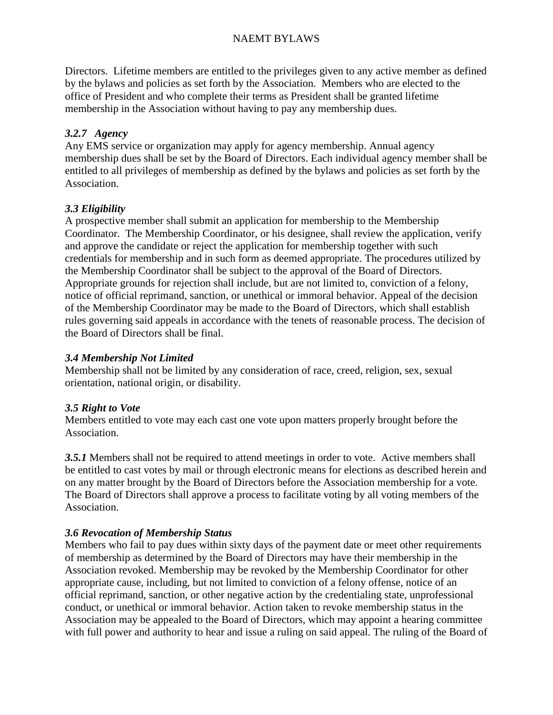Directors. Lifetime members are entitled to the privileges given to any active member as defined by the bylaws and policies as set forth by the Association. Members who are elected to the office of President and who complete their terms as President shall be granted lifetime membership in the Association without having to pay any membership dues.

# *3.2.7 Agency*

Any EMS service or organization may apply for agency membership. Annual agency membership dues shall be set by the Board of Directors. Each individual agency member shall be entitled to all privileges of membership as defined by the bylaws and policies as set forth by the Association.

## *3.3 Eligibility*

A prospective member shall submit an application for membership to the Membership Coordinator. The Membership Coordinator, or his designee, shall review the application, verify and approve the candidate or reject the application for membership together with such credentials for membership and in such form as deemed appropriate. The procedures utilized by the Membership Coordinator shall be subject to the approval of the Board of Directors. Appropriate grounds for rejection shall include, but are not limited to, conviction of a felony, notice of official reprimand, sanction, or unethical or immoral behavior. Appeal of the decision of the Membership Coordinator may be made to the Board of Directors, which shall establish rules governing said appeals in accordance with the tenets of reasonable process. The decision of the Board of Directors shall be final.

### *3.4 Membership Not Limited*

Membership shall not be limited by any consideration of race, creed, religion, sex, sexual orientation, national origin, or disability.

### *3.5 Right to Vote*

Members entitled to vote may each cast one vote upon matters properly brought before the Association.

*3.5.1* Members shall not be required to attend meetings in order to vote. Active members shall be entitled to cast votes by mail or through electronic means for elections as described herein and on any matter brought by the Board of Directors before the Association membership for a vote. The Board of Directors shall approve a process to facilitate voting by all voting members of the Association.

### *3.6 Revocation of Membership Status*

Members who fail to pay dues within sixty days of the payment date or meet other requirements of membership as determined by the Board of Directors may have their membership in the Association revoked. Membership may be revoked by the Membership Coordinator for other appropriate cause, including, but not limited to conviction of a felony offense, notice of an official reprimand, sanction, or other negative action by the credentialing state, unprofessional conduct, or unethical or immoral behavior. Action taken to revoke membership status in the Association may be appealed to the Board of Directors, which may appoint a hearing committee with full power and authority to hear and issue a ruling on said appeal. The ruling of the Board of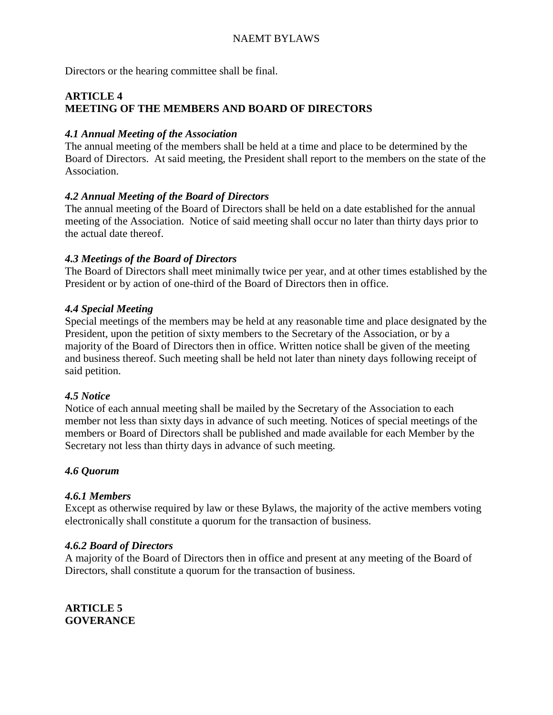Directors or the hearing committee shall be final.

## **ARTICLE 4 MEETING OF THE MEMBERS AND BOARD OF DIRECTORS**

### *4.1 Annual Meeting of the Association*

The annual meeting of the members shall be held at a time and place to be determined by the Board of Directors. At said meeting, the President shall report to the members on the state of the Association.

## *4.2 Annual Meeting of the Board of Directors*

The annual meeting of the Board of Directors shall be held on a date established for the annual meeting of the Association. Notice of said meeting shall occur no later than thirty days prior to the actual date thereof.

### *4.3 Meetings of the Board of Directors*

The Board of Directors shall meet minimally twice per year, and at other times established by the President or by action of one-third of the Board of Directors then in office.

## *4.4 Special Meeting*

Special meetings of the members may be held at any reasonable time and place designated by the President, upon the petition of sixty members to the Secretary of the Association, or by a majority of the Board of Directors then in office. Written notice shall be given of the meeting and business thereof. Such meeting shall be held not later than ninety days following receipt of said petition.

### *4.5 Notice*

Notice of each annual meeting shall be mailed by the Secretary of the Association to each member not less than sixty days in advance of such meeting. Notices of special meetings of the members or Board of Directors shall be published and made available for each Member by the Secretary not less than thirty days in advance of such meeting.

# *4.6 Quorum*

### *4.6.1 Members*

Except as otherwise required by law or these Bylaws, the majority of the active members voting electronically shall constitute a quorum for the transaction of business.

### *4.6.2 Board of Directors*

A majority of the Board of Directors then in office and present at any meeting of the Board of Directors, shall constitute a quorum for the transaction of business.

**ARTICLE 5 GOVERANCE**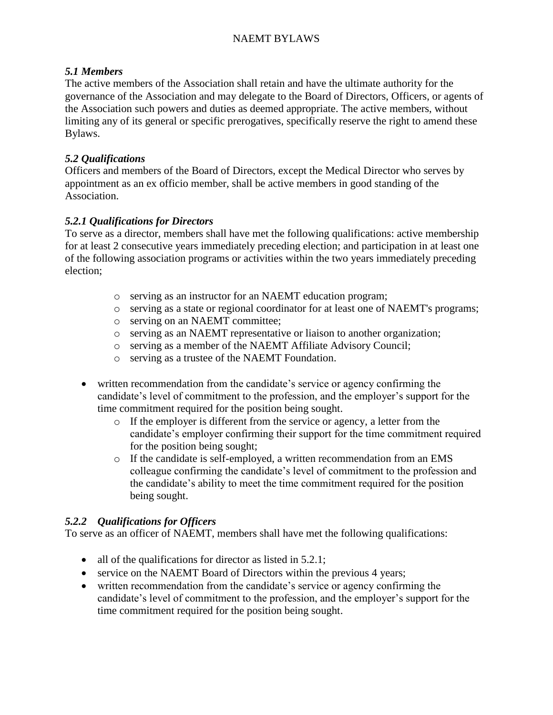### *5.1 Members*

The active members of the Association shall retain and have the ultimate authority for the governance of the Association and may delegate to the Board of Directors, Officers, or agents of the Association such powers and duties as deemed appropriate. The active members, without limiting any of its general or specific prerogatives, specifically reserve the right to amend these Bylaws.

### *5.2 Qualifications*

Officers and members of the Board of Directors, except the Medical Director who serves by appointment as an ex officio member, shall be active members in good standing of the Association.

### *5.2.1 Qualifications for Directors*

To serve as a director, members shall have met the following qualifications: active membership for at least 2 consecutive years immediately preceding election; and participation in at least one of the following association programs or activities within the two years immediately preceding election;

- o serving as an instructor for an NAEMT education program;
- o serving as a state or regional coordinator for at least one of NAEMT's programs;
- o serving on an NAEMT committee;
- o serving as an NAEMT representative or liaison to another organization;
- o serving as a member of the NAEMT Affiliate Advisory Council;
- o serving as a trustee of the NAEMT Foundation.
- written recommendation from the candidate's service or agency confirming the candidate's level of commitment to the profession, and the employer's support for the time commitment required for the position being sought.
	- o If the employer is different from the service or agency, a letter from the candidate's employer confirming their support for the time commitment required for the position being sought;
	- $\circ$  If the candidate is self-employed, a written recommendation from an EMS colleague confirming the candidate's level of commitment to the profession and the candidate's ability to meet the time commitment required for the position being sought.

### *5.2.2 Qualifications for Officers*

To serve as an officer of NAEMT, members shall have met the following qualifications:

- all of the qualifications for director as listed in 5.2.1;
- service on the NAEMT Board of Directors within the previous 4 years;
- written recommendation from the candidate's service or agency confirming the candidate's level of commitment to the profession, and the employer's support for the time commitment required for the position being sought.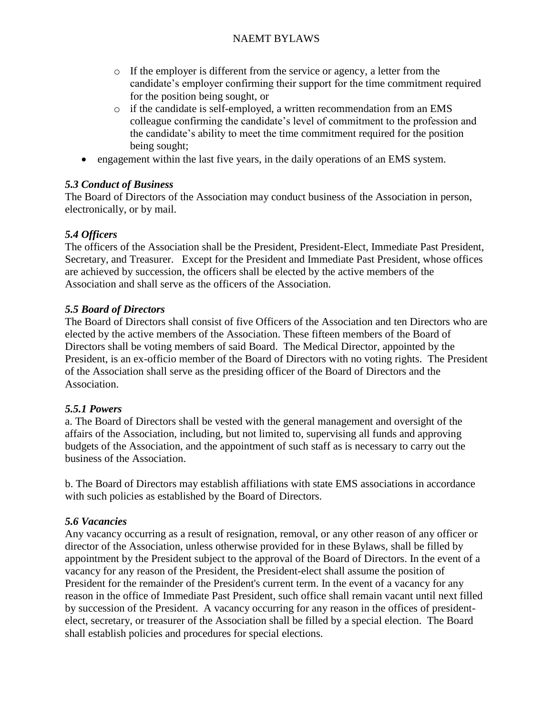- o If the employer is different from the service or agency, a letter from the candidate's employer confirming their support for the time commitment required for the position being sought, or
- o if the candidate is self-employed, a written recommendation from an EMS colleague confirming the candidate's level of commitment to the profession and the candidate's ability to meet the time commitment required for the position being sought;
- engagement within the last five years, in the daily operations of an EMS system.

# *5.3 Conduct of Business*

The Board of Directors of the Association may conduct business of the Association in person, electronically, or by mail.

# *5.4 Officers*

The officers of the Association shall be the President, President-Elect, Immediate Past President, Secretary, and Treasurer. Except for the President and Immediate Past President, whose offices are achieved by succession, the officers shall be elected by the active members of the Association and shall serve as the officers of the Association.

# *5.5 Board of Directors*

The Board of Directors shall consist of five Officers of the Association and ten Directors who are elected by the active members of the Association. These fifteen members of the Board of Directors shall be voting members of said Board. The Medical Director, appointed by the President, is an ex-officio member of the Board of Directors with no voting rights. The President of the Association shall serve as the presiding officer of the Board of Directors and the Association.

# *5.5.1 Powers*

a. The Board of Directors shall be vested with the general management and oversight of the affairs of the Association, including, but not limited to, supervising all funds and approving budgets of the Association, and the appointment of such staff as is necessary to carry out the business of the Association.

b. The Board of Directors may establish affiliations with state EMS associations in accordance with such policies as established by the Board of Directors.

# *5.6 Vacancies*

Any vacancy occurring as a result of resignation, removal, or any other reason of any officer or director of the Association, unless otherwise provided for in these Bylaws, shall be filled by appointment by the President subject to the approval of the Board of Directors. In the event of a vacancy for any reason of the President, the President-elect shall assume the position of President for the remainder of the President's current term. In the event of a vacancy for any reason in the office of Immediate Past President, such office shall remain vacant until next filled by succession of the President. A vacancy occurring for any reason in the offices of presidentelect, secretary, or treasurer of the Association shall be filled by a special election. The Board shall establish policies and procedures for special elections.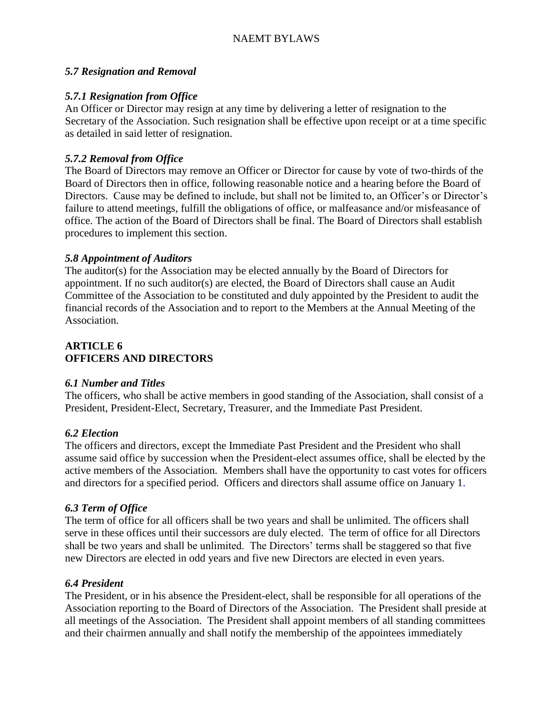### *5.7 Resignation and Removal*

## *5.7.1 Resignation from Office*

An Officer or Director may resign at any time by delivering a letter of resignation to the Secretary of the Association. Such resignation shall be effective upon receipt or at a time specific as detailed in said letter of resignation.

# *5.7.2 Removal from Office*

The Board of Directors may remove an Officer or Director for cause by vote of two-thirds of the Board of Directors then in office, following reasonable notice and a hearing before the Board of Directors. Cause may be defined to include, but shall not be limited to, an Officer's or Director's failure to attend meetings, fulfill the obligations of office, or malfeasance and/or misfeasance of office. The action of the Board of Directors shall be final. The Board of Directors shall establish procedures to implement this section.

### *5.8 Appointment of Auditors*

The auditor(s) for the Association may be elected annually by the Board of Directors for appointment. If no such auditor(s) are elected, the Board of Directors shall cause an Audit Committee of the Association to be constituted and duly appointed by the President to audit the financial records of the Association and to report to the Members at the Annual Meeting of the Association.

### **ARTICLE 6 OFFICERS AND DIRECTORS**

### *6.1 Number and Titles*

The officers, who shall be active members in good standing of the Association, shall consist of a President, President-Elect, Secretary, Treasurer, and the Immediate Past President.

### *6.2 Election*

The officers and directors, except the Immediate Past President and the President who shall assume said office by succession when the President-elect assumes office, shall be elected by the active members of the Association. Members shall have the opportunity to cast votes for officers and directors for a specified period. Officers and directors shall assume office on January 1.

### *6.3 Term of Office*

The term of office for all officers shall be two years and shall be unlimited. The officers shall serve in these offices until their successors are duly elected. The term of office for all Directors shall be two years and shall be unlimited. The Directors' terms shall be staggered so that five new Directors are elected in odd years and five new Directors are elected in even years.

### *6.4 President*

The President, or in his absence the President-elect, shall be responsible for all operations of the Association reporting to the Board of Directors of the Association. The President shall preside at all meetings of the Association. The President shall appoint members of all standing committees and their chairmen annually and shall notify the membership of the appointees immediately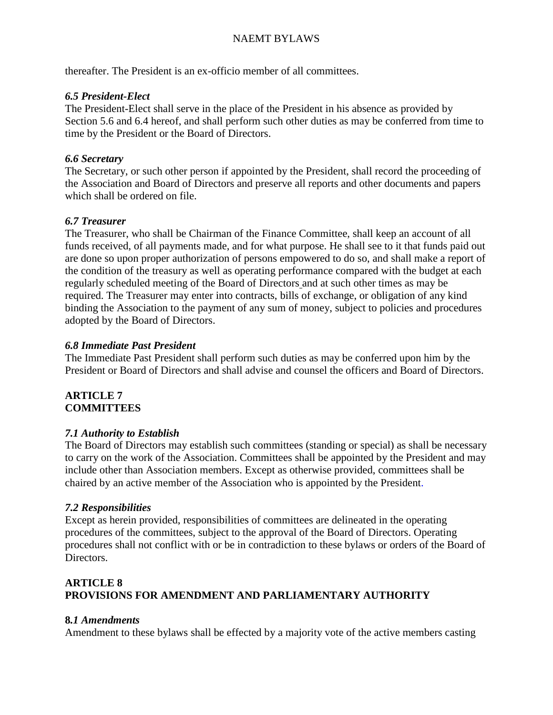thereafter. The President is an ex-officio member of all committees.

#### *6.5 President-Elect*

The President-Elect shall serve in the place of the President in his absence as provided by Section 5.6 and 6.4 hereof, and shall perform such other duties as may be conferred from time to time by the President or the Board of Directors.

### *6.6 Secretary*

The Secretary, or such other person if appointed by the President, shall record the proceeding of the Association and Board of Directors and preserve all reports and other documents and papers which shall be ordered on file.

### *6.7 Treasurer*

The Treasurer, who shall be Chairman of the Finance Committee, shall keep an account of all funds received, of all payments made, and for what purpose. He shall see to it that funds paid out are done so upon proper authorization of persons empowered to do so, and shall make a report of the condition of the treasury as well as operating performance compared with the budget at each regularly scheduled meeting of the Board of Directors and at such other times as may be required. The Treasurer may enter into contracts, bills of exchange, or obligation of any kind binding the Association to the payment of any sum of money, subject to policies and procedures adopted by the Board of Directors.

#### *6.8 Immediate Past President*

The Immediate Past President shall perform such duties as may be conferred upon him by the President or Board of Directors and shall advise and counsel the officers and Board of Directors.

#### **ARTICLE 7 COMMITTEES**

#### *7.1 Authority to Establish*

The Board of Directors may establish such committees (standing or special) as shall be necessary to carry on the work of the Association. Committees shall be appointed by the President and may include other than Association members. Except as otherwise provided, committees shall be chaired by an active member of the Association who is appointed by the President.

#### *7.2 Responsibilities*

Except as herein provided, responsibilities of committees are delineated in the operating procedures of the committees, subject to the approval of the Board of Directors. Operating procedures shall not conflict with or be in contradiction to these bylaws or orders of the Board of Directors.

### **ARTICLE 8 PROVISIONS FOR AMENDMENT AND PARLIAMENTARY AUTHORITY**

### **8***.1 Amendments*

Amendment to these bylaws shall be effected by a majority vote of the active members casting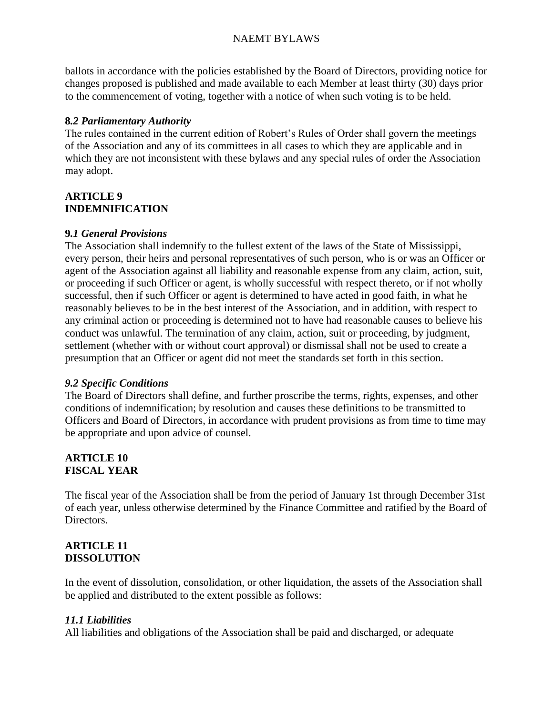ballots in accordance with the policies established by the Board of Directors, providing notice for changes proposed is published and made available to each Member at least thirty (30) days prior to the commencement of voting, together with a notice of when such voting is to be held.

### **8***.2 Parliamentary Authority*

The rules contained in the current edition of Robert's Rules of Order shall govern the meetings of the Association and any of its committees in all cases to which they are applicable and in which they are not inconsistent with these bylaws and any special rules of order the Association may adopt.

## **ARTICLE 9 INDEMNIFICATION**

### **9***.1 General Provisions*

The Association shall indemnify to the fullest extent of the laws of the State of Mississippi, every person, their heirs and personal representatives of such person, who is or was an Officer or agent of the Association against all liability and reasonable expense from any claim, action, suit, or proceeding if such Officer or agent, is wholly successful with respect thereto, or if not wholly successful, then if such Officer or agent is determined to have acted in good faith, in what he reasonably believes to be in the best interest of the Association, and in addition, with respect to any criminal action or proceeding is determined not to have had reasonable causes to believe his conduct was unlawful. The termination of any claim, action, suit or proceeding, by judgment, settlement (whether with or without court approval) or dismissal shall not be used to create a presumption that an Officer or agent did not meet the standards set forth in this section.

#### *9.2 Specific Conditions*

The Board of Directors shall define, and further proscribe the terms, rights, expenses, and other conditions of indemnification; by resolution and causes these definitions to be transmitted to Officers and Board of Directors, in accordance with prudent provisions as from time to time may be appropriate and upon advice of counsel.

### **ARTICLE 10 FISCAL YEAR**

The fiscal year of the Association shall be from the period of January 1st through December 31st of each year, unless otherwise determined by the Finance Committee and ratified by the Board of Directors.

#### **ARTICLE 11 DISSOLUTION**

In the event of dissolution, consolidation, or other liquidation, the assets of the Association shall be applied and distributed to the extent possible as follows:

### *11.1 Liabilities*

All liabilities and obligations of the Association shall be paid and discharged, or adequate